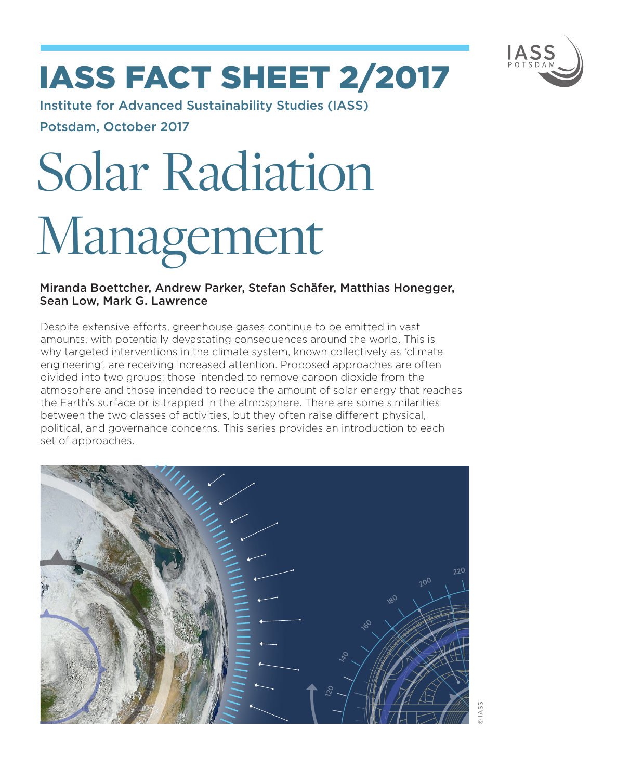

# IASS fact sheet 2/2017

Institute for Advanced Sustainability Studies (IASS) Potsdam, October 2017

# Solar Radiation Management

# Miranda Boettcher, Andrew Parker, Stefan Schäfer, Matthias Honegger, Sean Low, Mark G. Lawrence

Despite extensive efforts, greenhouse gases continue to be emitted in vast amounts, with potentially devastating consequences around the world. This is why targeted interventions in the climate system, known collectively as 'climate engineering', are receiving increased attention. Proposed approaches are often divided into two groups: those intended to remove carbon dioxide from the atmosphere and those intended to reduce the amount of solar energy that reaches the Earth's surface or is trapped in the atmosphere. There are some similarities between the two classes of activities, but they often raise different physical, political, and governance concerns. This series provides an introduction to each set of approaches.

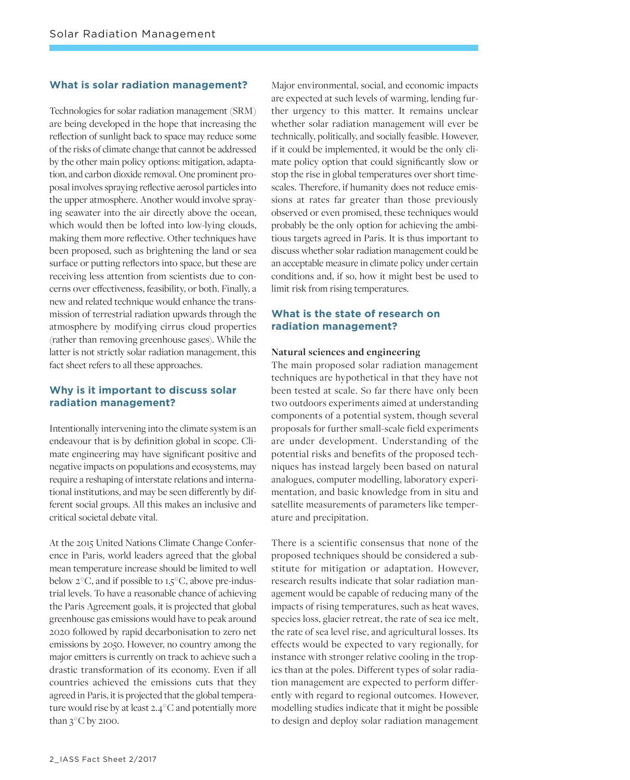#### **What is solar radiation management?**

Technologies for solar radiation management (SRM) are being developed in the hope that increasing the reflection of sunlight back to space may reduce some of the risks of climate change that cannot be addressed by the other main policy options: mitigation, adaptation, and carbon dioxide removal. One prominent proposal involves spraying reflective aerosol particles into the upper atmosphere. Another would involve spraying seawater into the air directly above the ocean, which would then be lofted into low-lying clouds, making them more reflective. Other techniques have been proposed, such as brightening the land or sea surface or putting reflectors into space, but these are receiving less attention from scientists due to concerns over effectiveness, feasibility, or both. Finally, a new and related technique would enhance the transmission of terrestrial radiation upwards through the atmosphere by modifying cirrus cloud properties (rather than removing greenhouse gases). While the latter is not strictly solar radiation management, this fact sheet refers to all these approaches.

#### **Why is it important to discuss solar radiation management?**

Intentionally intervening into the climate system is an endeavour that is by definition global in scope. Climate engineering may have significant positive and negative impacts on populations and ecosystems, may require a reshaping of interstate relations and international institutions, and may be seen differently by different social groups. All this makes an inclusive and critical societal debate vital.

At the 2015 United Nations Climate Change Conference in Paris, world leaders agreed that the global mean temperature increase should be limited to well below  $2^{\circ}$ C, and if possible to  $1.5^{\circ}$ C, above pre-industrial levels. To have a reasonable chance of achieving the Paris Agreement goals, it is projected that global greenhouse gas emissions would have to peak around 2020 followed by rapid decarbonisation to zero net emissions by 2050. However, no country among the major emitters is currently on track to achieve such a drastic transformation of its economy. Even if all countries achieved the emissions cuts that they agreed in Paris, it is projected that the global temperature would rise by at least 2.4 ° C and potentially more than  $3^{\circ}$ C by 2100.

Major environmental, social, and economic impacts are expected at such levels of warming, lending further urgency to this matter. It remains unclear whether solar radiation management will ever be technically, politically, and socially feasible. However, if it could be implemented, it would be the only climate policy option that could significantly slow or stop the rise in global temperatures over short timescales. Therefore, if humanity does not reduce emissions at rates far greater than those previously observed or even promised, these techniques would probably be the only option for achieving the ambitious targets agreed in Paris. It is thus important to discuss whether solar radiation management could be an acceptable measure in climate policy under certain conditions and, if so, how it might best be used to limit risk from rising temperatures.

## **What is the state of research on radiation management?**

#### **Natural sciences and engineering**

The main proposed solar radiation management techniques are hypothetical in that they have not been tested at scale. So far there have only been two outdoors experiments aimed at understanding components of a potential system, though several proposals for further small-scale field experiments are under development. Understanding of the potential risks and benefits of the proposed techniques has instead largely been based on natural analogues, computer modelling, laboratory experimentation, and basic knowledge from in situ and satellite measurements of parameters like temperature and precipitation.

There is a scientific consensus that none of the proposed techniques should be considered a substitute for mitigation or adaptation. However, research results indicate that solar radiation management would be capable of reducing many of the impacts of rising temperatures, such as heat waves, species loss, glacier retreat, the rate of sea ice melt, the rate of sea level rise, and agricultural losses. Its effects would be expected to vary regionally, for instance with stronger relative cooling in the tropics than at the poles. Different types of solar radiation management are expected to perform differently with regard to regional outcomes. However, modelling studies indicate that it might be possible to design and deploy solar radiation management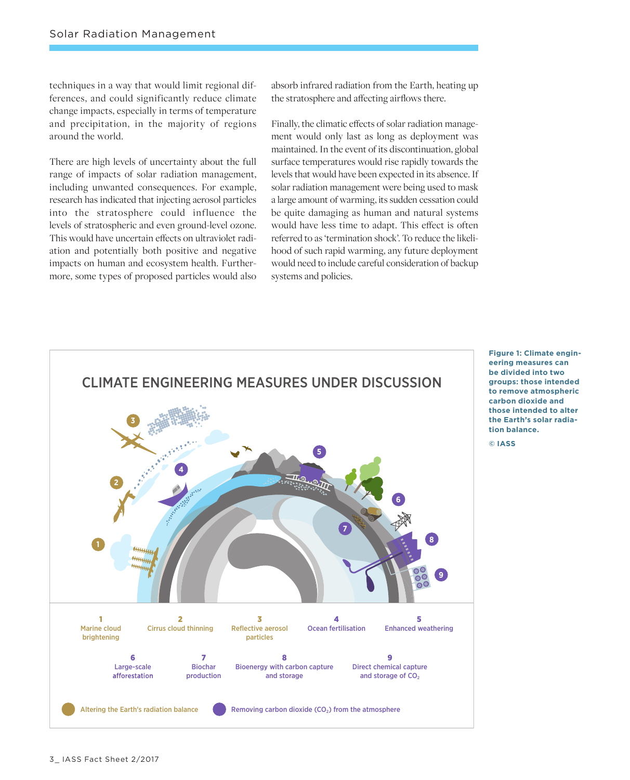techniques in a way that would limit regional differences, and could significantly reduce climate change impacts, especially in terms of temperature and precipitation, in the majority of regions around the world.

There are high levels of uncertainty about the full range of impacts of solar radiation management, including unwanted consequences. For example, research has indicated that injecting aerosol particles into the stratosphere could influence the levels of stratospheric and even ground-level ozone. This would have uncertain effects on ultraviolet radiation and potentially both positive and negative impacts on human and ecosystem health. Furthermore, some types of proposed particles would also

absorb infrared radiation from the Earth, heating up the stratosphere and affecting airflows there.

Finally, the climatic effects of solar radiation management would only last as long as deployment was maintained. In the event of its discontinuation, global surface temperatures would rise rapidly towards the levels that would have been expected in its absence. If solar radiation management were being used to mask a large amount of warming, its sudden cessation could be quite damaging as human and natural systems would have less time to adapt. This effect is often referred to as 'termination shock'. To reduce the likelihood of such rapid warming, any future deployment would need to include careful consideration of backup systems and policies.



**Figure 1: Climate engineering measures can be divided into two groups: those intended to remove atmospheric carbon dioxide and those intended to alter the Earth's solar radiation balance.** 

**© IASS**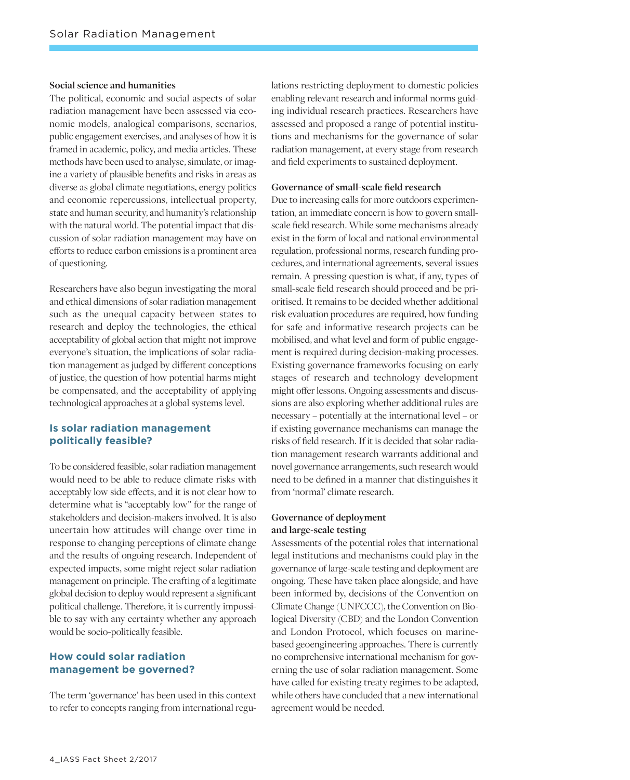#### **Social science and humanities**

The political, economic and social aspects of solar radiation management have been assessed via economic models, analogical comparisons, scenarios, public engagement exercises, and analyses of how it is framed in academic, policy, and media articles. These methods have been used to analyse, simulate, or imagine a variety of plausible benefits and risks in areas as diverse as global climate negotiations, energy politics and economic repercussions, intellectual property, state and human security, and humanity's relationship with the natural world. The potential impact that discussion of solar radiation management may have on efforts to reduce carbon emissions is a prominent area of questioning.

Researchers have also begun investigating the moral and ethical dimensions of solar radiation management such as the unequal capacity between states to research and deploy the technologies, the ethical acceptability of global action that might not improve everyone's situation, the implications of solar radiation management as judged by different conceptions of justice, the question of how potential harms might be compensated, and the acceptability of applying technological approaches at a global systems level.

## **Is solar radiation management politically feasible?**

To be considered feasible, solar radiation management would need to be able to reduce climate risks with acceptably low side effects, and it is not clear how to determine what is "acceptably low" for the range of stakeholders and decision-makers involved. It is also uncertain how attitudes will change over time in response to changing perceptions of climate change and the results of ongoing research. Independent of expected impacts, some might reject solar radiation management on principle. The crafting of a legitimate global decision to deploy would represent a significant political challenge. Therefore, it is currently impossible to say with any certainty whether any approach would be socio-politically feasible.

# **How could solar radiation management be governed?**

The term 'governance' has been used in this context to refer to concepts ranging from international regulations restricting deployment to domestic policies enabling relevant research and informal norms guiding individual research practices. Researchers have assessed and proposed a range of potential institutions and mechanisms for the governance of solar radiation management, at every stage from research and field experiments to sustained deployment.

#### **Governance of small-scale field research**

Due to increasing calls for more outdoors experimentation, an immediate concern is how to govern smallscale field research. While some mechanisms already exist in the form of local and national environmental regulation, professional norms, research funding procedures, and international agreements, several issues remain. A pressing question is what, if any, types of small-scale field research should proceed and be prioritised. It remains to be decided whether additional risk evaluation procedures are required, how funding for safe and informative research projects can be mobilised, and what level and form of public engagement is required during decision-making processes. Existing governance frameworks focusing on early stages of research and technology development might offer lessons. Ongoing assessments and discussions are also exploring whether additional rules are necessary – potentially at the international level – or if existing governance mechanisms can manage the risks of field research. If it is decided that solar radiation management research warrants additional and novel governance arrangements, such research would need to be defined in a manner that distinguishes it from 'normal' climate research.

#### **Governance of deployment and large-scale testing**

Assessments of the potential roles that international legal institutions and mechanisms could play in the governance of large-scale testing and deployment are ongoing. These have taken place alongside, and have been informed by, decisions of the Convention on Climate Change (UNFCCC), the Convention on Biological Diversity (CBD) and the London Convention and London Protocol, which focuses on marinebased geoengineering approaches. There is currently no comprehensive international mechanism for governing the use of solar radiation management. Some have called for existing treaty regimes to be adapted, while others have concluded that a new international agreement would be needed.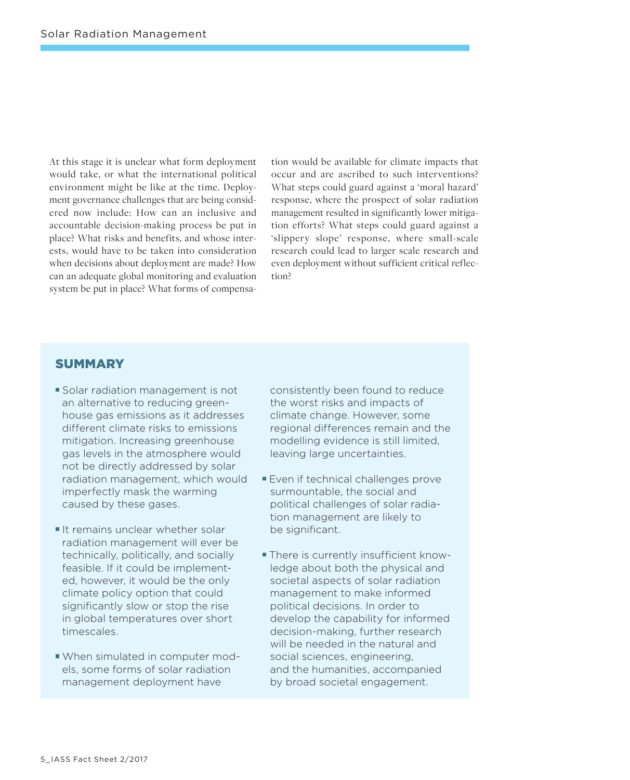At this stage it is unclear what form deployment would take, or what the international political environment might be like at the time. Deployment governance challenges that are being considered now include: How can an inclusive and accountable decision-making process be put in place? What risks and benefits, and whose interests, would have to be taken into consideration when decisions about deployment are made? How can an adequate global monitoring and evaluation system be put in place? What forms of compensation would be available for climate impacts that occur and are ascribed to such interventions? What steps could guard against a 'moral hazard' response, where the prospect of solar radiation management resulted in significantly lower mitigation efforts? What steps could guard against a 'slippery slope' response, where small-scale research could lead to larger scale research and even deployment without sufficient critical reflection?

# **SUMMARY**

- **Solar radiation management is not** an alternative to reducing greenhouse gas emissions as it addresses different climate risks to emissions mitigation. Increasing greenhouse gas levels in the atmosphere would not be directly addressed by solar radiation management, which would imperfectly mask the warming caused by these gases.
- It remains unclear whether solar radiation management will ever be technically, politically, and socially feasible. If it could be implemented, however, it would be the only climate policy option that could significantly slow or stop the rise in global temperatures over short timescales.
- When simulated in computer models, some forms of solar radiation management deployment have

consistently been found to reduce the worst risks and impacts of climate change. However, some regional differences remain and the modelling evidence is still limited, leaving large uncertainties.

- **Even if technical challenges prove** surmountable, the social and political challenges of solar radiation management are likely to be significant.
- There is currently insufficient knowledge about both the physical and societal aspects of solar radiation management to make informed political decisions. In order to develop the capability for informed decision-making, further research will be needed in the natural and social sciences, engineering, and the humanities, accompanied by broad societal engagement.